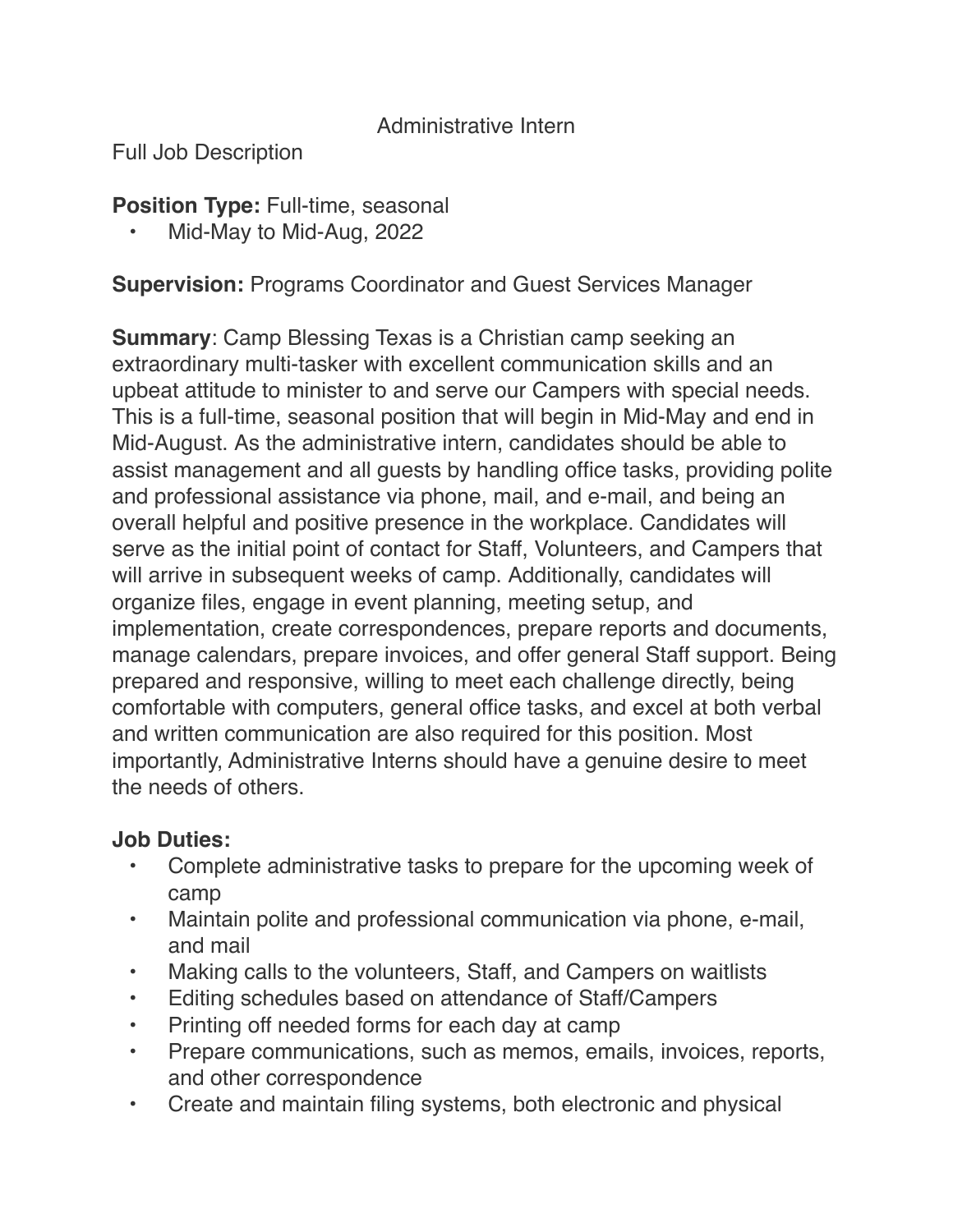#### Administrative Intern

Full Job Description

**Position Type:** Full-time, seasonal

• Mid-May to Mid-Aug, 2022

**Supervision:** Programs Coordinator and Guest Services Manager

**Summary**: Camp Blessing Texas is a Christian camp seeking an extraordinary multi-tasker with excellent communication skills and an upbeat attitude to minister to and serve our Campers with special needs. This is a full-time, seasonal position that will begin in Mid-May and end in Mid-August. As the administrative intern, candidates should be able to assist management and all guests by handling office tasks, providing polite and professional assistance via phone, mail, and e-mail, and being an overall helpful and positive presence in the workplace. Candidates will serve as the initial point of contact for Staff, Volunteers, and Campers that will arrive in subsequent weeks of camp. Additionally, candidates will organize files, engage in event planning, meeting setup, and implementation, create correspondences, prepare reports and documents, manage calendars, prepare invoices, and offer general Staff support. Being prepared and responsive, willing to meet each challenge directly, being comfortable with computers, general office tasks, and excel at both verbal and written communication are also required for this position. Most importantly, Administrative Interns should have a genuine desire to meet the needs of others.

#### **Job Duties:**

- Complete administrative tasks to prepare for the upcoming week of camp
- Maintain polite and professional communication via phone, e-mail, and mail
- Making calls to the volunteers, Staff, and Campers on waitlists
- Editing schedules based on attendance of Staff/Campers
- Printing off needed forms for each day at camp
- Prepare communications, such as memos, emails, invoices, reports, and other correspondence
- Create and maintain filing systems, both electronic and physical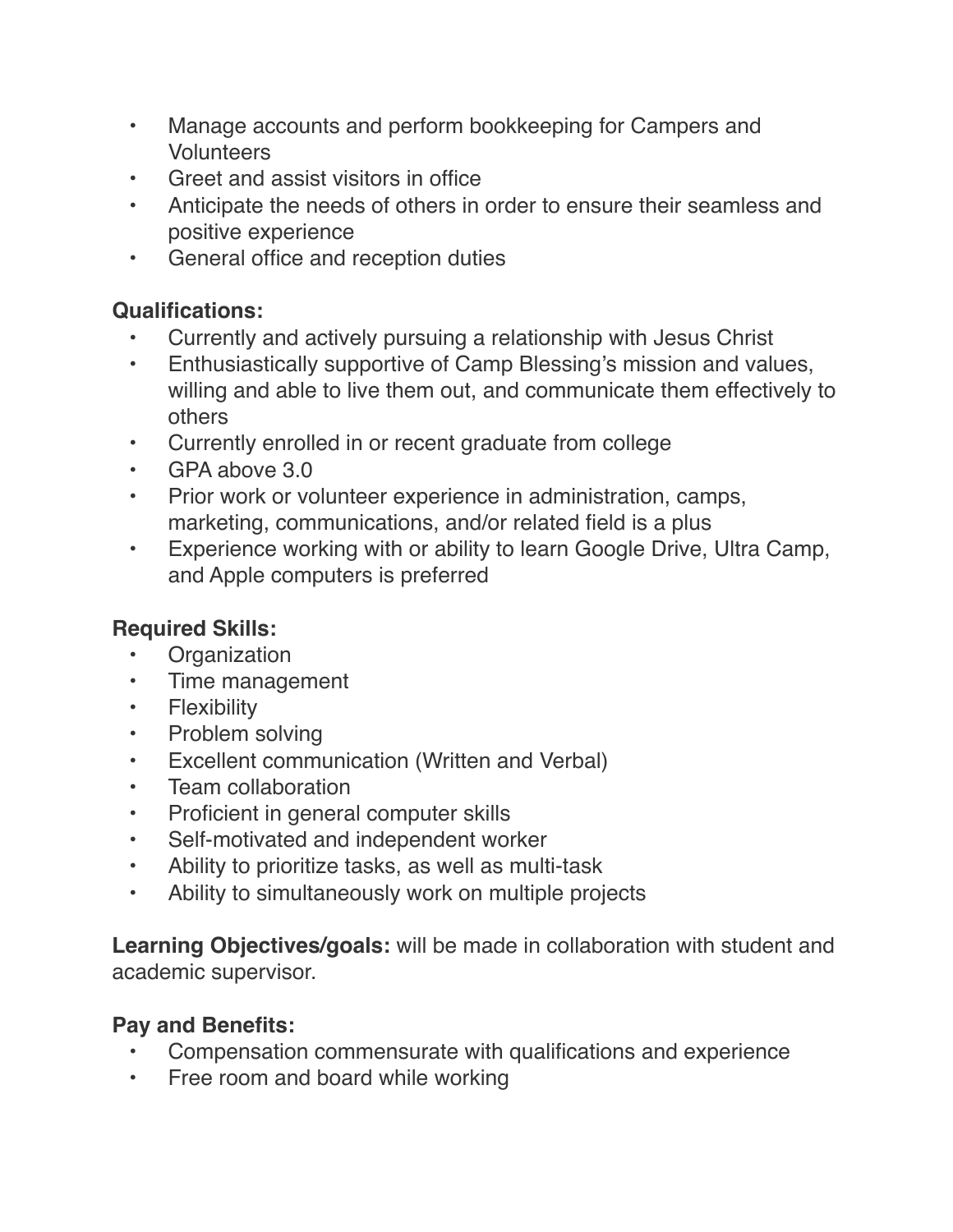- Manage accounts and perform bookkeeping for Campers and **Volunteers**
- Greet and assist visitors in office
- Anticipate the needs of others in order to ensure their seamless and positive experience
- General office and reception duties

### **Qualifications:**

- Currently and actively pursuing a relationship with Jesus Christ
- Enthusiastically supportive of Camp Blessing's mission and values, willing and able to live them out, and communicate them effectively to others
- Currently enrolled in or recent graduate from college
- GPA above 3.0
- Prior work or volunteer experience in administration, camps, marketing, communications, and/or related field is a plus
- Experience working with or ability to learn Google Drive, Ultra Camp, and Apple computers is preferred

# **Required Skills:**

- Organization
- Time management
- Flexibility
- Problem solving
- Excellent communication (Written and Verbal)
- Team collaboration
- Proficient in general computer skills
- Self-motivated and independent worker
- Ability to prioritize tasks, as well as multi-task
- Ability to simultaneously work on multiple projects

**Learning Objectives/goals:** will be made in collaboration with student and academic supervisor.

## **Pay and Benefits:**

- Compensation commensurate with qualifications and experience
- Free room and board while working